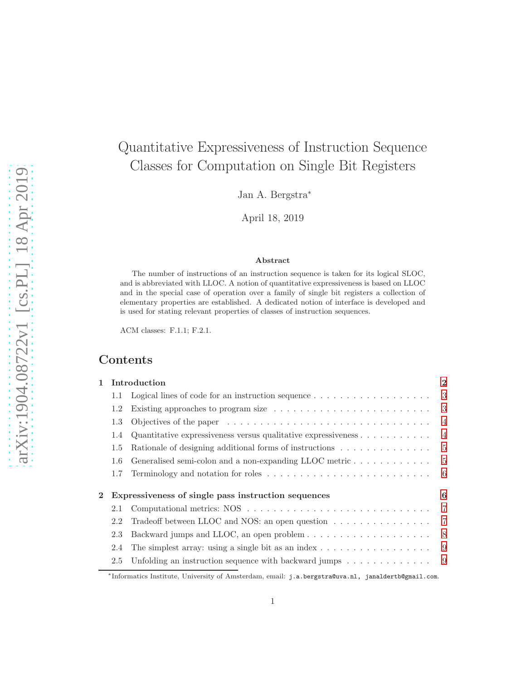# Quantitative Expressiveness of Instruction Sequence Classes for Computation on Single Bit Registers

Jan A. Bergstra<sup>∗</sup>

April 18, 2019

#### Abstract

The number of instructions of an instruction sequence is taken for its logical SLOC, and is abbreviated with LLOC. A notion of quantitative expressiveness is based on LLOC and in the special case of operation over a family of single bit registers a collection of elementary properties are established. A dedicated notion of interface is developed and is used for stating relevant properties of classes of instruction sequences.

ACM classes: F.1.1; F.2.1.

# Contents

| 1        |     | Introduction                                                                                       | $\overline{2}$ |
|----------|-----|----------------------------------------------------------------------------------------------------|----------------|
|          | 1.1 | Logical lines of code for an instruction sequence $\dots \dots \dots \dots \dots \dots$            | 3              |
|          | 1.2 |                                                                                                    | - 3            |
|          | 1.3 | Objectives of the paper $\dots \dots \dots \dots \dots \dots \dots \dots \dots \dots \dots \dots$  | 4              |
|          | 1.4 | Quantitative expressiveness versus qualitative expressiveness $\dots \dots \dots$                  | $\overline{4}$ |
|          | 1.5 | Rationale of designing additional forms of instructions                                            | 5              |
|          | 1.6 | Generalised semi-colon and a non-expanding LLOC metric $\dots \dots \dots \dots$                   | -5             |
|          | 1.7 |                                                                                                    | - 6            |
| $\bf{2}$ |     | Expressiveness of single pass instruction sequences                                                | 6              |
|          | 2.1 |                                                                                                    | 7              |
|          | 2.2 | Tradeoff between LLOC and NOS: an open question $\dots \dots \dots \dots \dots$                    | -7             |
|          | 2.3 |                                                                                                    | - 8            |
|          | 2.4 | The simplest array: using a single bit as an index $\dots \dots \dots \dots \dots \dots$           | -9             |
|          | 2.5 | Unfolding an instruction sequence with backward jumps $\dots \dots \dots \dots$                    | -9             |
|          |     | *Informatics Institute, University of Amsterdam, email: j.a.bergstra@uva.nl, janaldertb@gmail.com. |                |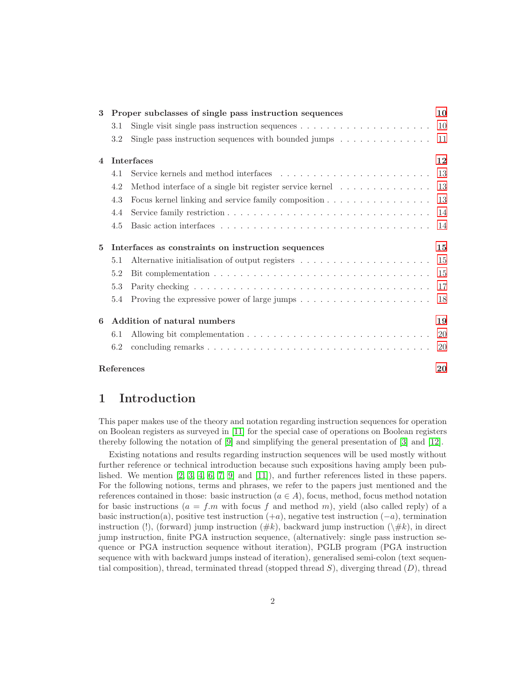| 3              |            | Proper subclasses of single pass instruction sequences                                                 | 10            |  |  |
|----------------|------------|--------------------------------------------------------------------------------------------------------|---------------|--|--|
|                | 3.1        | Single visit single pass instruction sequences $\dots \dots \dots \dots \dots \dots \dots$             | <sup>10</sup> |  |  |
|                | 3.2        | Single pass instruction sequences with bounded jumps $\dots \dots \dots \dots$                         | 11            |  |  |
| $\overline{4}$ |            | <b>Interfaces</b>                                                                                      | 12            |  |  |
|                | 4.1        |                                                                                                        | 13            |  |  |
|                | 4.2        | Method interface of a single bit register service kernel                                               | 13            |  |  |
|                | 4.3        | Focus kernel linking and service family composition                                                    | 13            |  |  |
|                | 4.4        |                                                                                                        | 14            |  |  |
|                | 4.5        |                                                                                                        | -14           |  |  |
| 5              |            | Interfaces as constraints on instruction sequences                                                     | 15            |  |  |
|                | 5.1        | Alternative initialisation of output registers $\dots \dots \dots \dots \dots \dots \dots$             | -15           |  |  |
|                | 5.2        |                                                                                                        | 15            |  |  |
|                | 5.3        |                                                                                                        | 17            |  |  |
|                | 5.4        | Proving the expressive power of large jumps $\dots \dots \dots \dots \dots \dots \dots \dots \dots$ 18 |               |  |  |
| 6              |            | Addition of natural numbers                                                                            | 19            |  |  |
|                | 6.1        |                                                                                                        | <b>20</b>     |  |  |
|                | 6.2        |                                                                                                        | 20            |  |  |
|                | References |                                                                                                        |               |  |  |

# <span id="page-1-0"></span>1 Introduction

This paper makes use of the theory and notation regarding instruction sequences for operation on Boolean registers as surveyed in [\[11\]](#page-20-0) for the special case of operations on Boolean registers thereby following the notation of [\[9\]](#page-20-1) and simplifying the general presentation of [\[3\]](#page-20-2) and [\[12\]](#page-20-3).

Existing notations and results regarding instruction sequences will be used mostly without further reference or technical introduction because such expositions having amply been published. We mention  $[2, 3, 4, 6, 7, 9]$  $[2, 3, 4, 6, 7, 9]$  $[2, 3, 4, 6, 7, 9]$  $[2, 3, 4, 6, 7, 9]$  $[2, 3, 4, 6, 7, 9]$  $[2, 3, 4, 6, 7, 9]$  and  $[11]$ , and further references listed in these papers. For the following notions, terms and phrases, we refer to the papers just mentioned and the references contained in those: basic instruction ( $a \in A$ ), focus, method, focus method notation for basic instructions ( $a = f \cdot m$  with focus f and method m), yield (also called reply) of a basic instruction(a), positive test instruction  $(+a)$ , negative test instruction  $(-a)$ , termination instruction (!), (forward) jump instruction ( $\#k$ ), backward jump instruction ( $\setminus \#k$ ), in direct jump instruction, finite PGA instruction sequence, (alternatively: single pass instruction sequence or PGA instruction sequence without iteration), PGLB program (PGA instruction sequence with with backward jumps instead of iteration), generalised semi-colon (text sequential composition), thread, terminated thread (stopped thread  $S$ ), diverging thread  $(D)$ , thread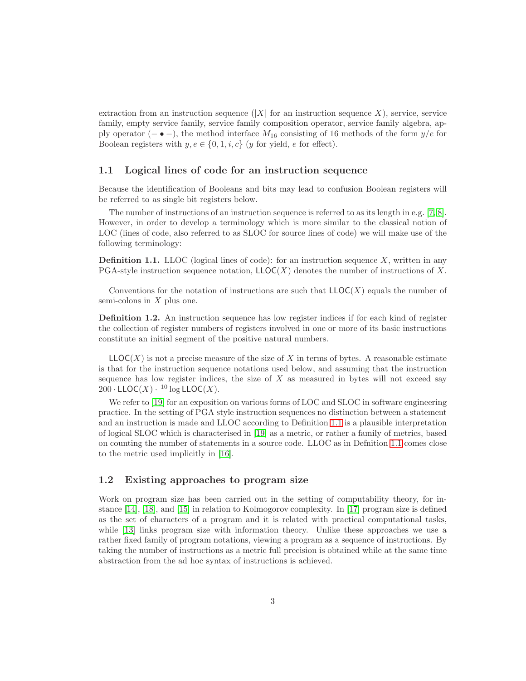extraction from an instruction sequence  $(|X|$  for an instruction sequence X), service, service family, empty service family, service family composition operator, service family algebra, apply operator (− $\bullet$  –), the method interface  $M_{16}$  consisting of 16 methods of the form  $y/e$  for Boolean registers with  $y, e \in \{0, 1, i, c\}$  (y for yield, e for effect).

#### <span id="page-2-0"></span>1.1 Logical lines of code for an instruction sequence

Because the identification of Booleans and bits may lead to confusion Boolean registers will be referred to as single bit registers below.

The number of instructions of an instruction sequence is referred to as its length in e.g. [\[7,](#page-20-7) [8\]](#page-20-8). However, in order to develop a terminology which is more similar to the classical notion of LOC (lines of code, also referred to as SLOC for source lines of code) we will make use of the following terminology:

<span id="page-2-2"></span>**Definition 1.1.** LLOC (logical lines of code): for an instruction sequence  $X$ , written in any PGA-style instruction sequence notation,  $LLOC(X)$  denotes the number of instructions of X.

Conventions for the notation of instructions are such that  $LLOC(X)$  equals the number of semi-colons in  $X$  plus one.

Definition 1.2. An instruction sequence has low register indices if for each kind of register the collection of register numbers of registers involved in one or more of its basic instructions constitute an initial segment of the positive natural numbers.

 $LLOC(X)$  is not a precise measure of the size of X in terms of bytes. A reasonable estimate is that for the instruction sequence notations used below, and assuming that the instruction sequence has low register indices, the size of  $X$  as measured in bytes will not exceed say  $200 \cdot \mathsf{LLOC}(X) \cdot 10 \log \mathsf{LLOC}(X)$ .

We refer to [\[19\]](#page-21-0) for an exposition on various forms of LOC and SLOC in software engineering practice. In the setting of PGA style instruction sequences no distinction between a statement and an instruction is made and LLOC according to Definition [1.1](#page-2-2) is a plausible interpretation of logical SLOC which is characterised in [\[19\]](#page-21-0) as a metric, or rather a family of metrics, based on counting the number of statements in a source code. LLOC as in Defnition [1.1](#page-2-2) comes close to the metric used implicitly in [\[16\]](#page-21-1).

## <span id="page-2-1"></span>1.2 Existing approaches to program size

Work on program size has been carried out in the setting of computability theory, for instance [\[14\]](#page-20-9), [\[18\]](#page-21-2), and [\[15\]](#page-21-3) in relation to Kolmogorov complexity. In [\[17\]](#page-21-4) program size is defined as the set of characters of a program and it is related with practical computational tasks, while [\[13\]](#page-20-10) links program size with information theory. Unlike these approaches we use a rather fixed family of program notations, viewing a program as a sequence of instructions. By taking the number of instructions as a metric full precision is obtained while at the same time abstraction from the ad hoc syntax of instructions is achieved.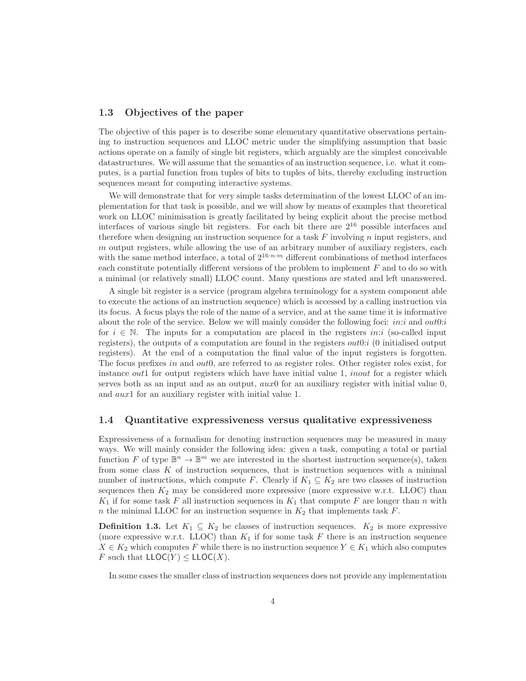#### <span id="page-3-0"></span>1.3 Objectives of the paper

The objective of this paper is to describe some elementary quantitative observations pertaining to instruction sequences and LLOC metric under the simplifying assumption that basic actions operate on a family of single bit registers, which arguably are the simplest conceivable datastructures. We will assume that the semantics of an instruction sequence, i.e. what it computes, is a partial function from tuples of bits to tuples of bits, thereby excluding instruction sequences meant for computing interactive systems.

We will demonstrate that for very simple tasks determination of the lowest LLOC of an implementation for that task is possible, and we will show by means of examples that theoretical work on LLOC minimisation is greatly facilitated by being explicit about the precise method interfaces of various single bit registers. For each bit there are  $2^{16}$  possible interfaces and therefore when designing an instruction sequence for a task  $F$  involving  $n$  input registers, and  $m$  output registers, while allowing the use of an arbitrary number of auxiliary registers, each with the same method interface, a total of  $2^{16\cdot n \cdot m}$  different combinations of method interfaces each constitute potentially different versions of the problem to implement  $F$  and to do so with a minimal (or relatively small) LLOC count. Many questions are stated and left unanswered.

A single bit register is a service (program algebra terminology for a system component able to execute the actions of an instruction sequence) which is accessed by a calling instruction via its focus. A focus plays the role of the name of a service, and at the same time it is informative about the role of the service. Below we will mainly consider the following foci: *in:i* and  $out0:i$ for  $i \in \mathbb{N}$ . The inputs for a computation are placed in the registers *in:i* (so-called input registers), the outputs of a computation are found in the registers  $out0:i$  (0 initialised output registers). At the end of a computation the final value of the input registers is forgotten. The focus prefixes in and out<sub>0</sub>, are referred to as register roles. Other register roles exist, for instance *out*1 for output registers which have have initial value  $1$ , *inout* for a register which serves both as an input and as an output,  $aux0$  for an auxiliary register with initial value 0, and aux1 for an auxiliary register with initial value 1.

#### <span id="page-3-1"></span>1.4 Quantitative expressiveness versus qualitative expressiveness

Expressiveness of a formalism for denoting instruction sequences may be measured in many ways. We will mainly consider the following idea: given a task, computing a total or partial function F of type  $\mathbb{B}^n \to \mathbb{B}^m$  we are interested in the shortest instruction sequence(s), taken from some class  $K$  of instruction sequences, that is instruction sequences with a minimal number of instructions, which compute F. Clearly if  $K_1 \subseteq K_2$  are two classes of instruction sequences then  $K_2$  may be considered more expressive (more expressive w.r.t. LLOC) than  $K_1$  if for some task F all instruction sequences in  $K_1$  that compute F are longer than n with n the minimal LLOC for an instruction sequence in  $K_2$  that implements task F.

**Definition 1.3.** Let  $K_1 \subseteq K_2$  be classes of instruction sequences.  $K_2$  is more expressive (more expressive w.r.t. LLOC) than  $K_1$  if for some task F there is an instruction sequence  $X \in K_2$  which computes F while there is no instruction sequence  $Y \in K_1$  which also computes F such that  $\mathsf{LLOC}(Y) \leq \mathsf{LLOC}(X)$ .

In some cases the smaller class of instruction sequences does not provide any implementation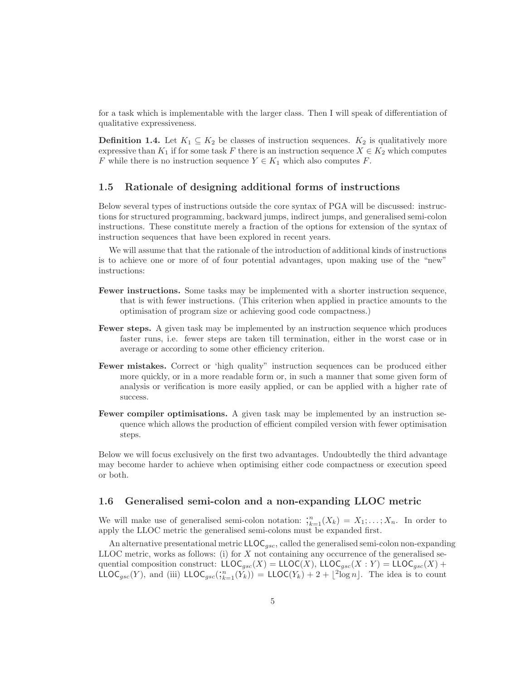for a task which is implementable with the larger class. Then I will speak of differentiation of qualitative expressiveness.

**Definition 1.4.** Let  $K_1 \subseteq K_2$  be classes of instruction sequences.  $K_2$  is qualitatively more expressive than  $K_1$  if for some task F there is an instruction sequence  $X \in K_2$  which computes F while there is no instruction sequence  $Y \in K_1$  which also computes F.

### <span id="page-4-0"></span>1.5 Rationale of designing additional forms of instructions

Below several types of instructions outside the core syntax of PGA will be discussed: instructions for structured programming, backward jumps, indirect jumps, and generalised semi-colon instructions. These constitute merely a fraction of the options for extension of the syntax of instruction sequences that have been explored in recent years.

We will assume that that the rationale of the introduction of additional kinds of instructions is to achieve one or more of of four potential advantages, upon making use of the "new" instructions:

- Fewer instructions. Some tasks may be implemented with a shorter instruction sequence, that is with fewer instructions. (This criterion when applied in practice amounts to the optimisation of program size or achieving good code compactness.)
- Fewer steps. A given task may be implemented by an instruction sequence which produces faster runs, i.e. fewer steps are taken till termination, either in the worst case or in average or according to some other efficiency criterion.
- Fewer mistakes. Correct or 'high quality" instruction sequences can be produced either more quickly, or in a more readable form or, in such a manner that some given form of analysis or verification is more easily applied, or can be applied with a higher rate of success.
- Fewer compiler optimisations. A given task may be implemented by an instruction sequence which allows the production of efficient compiled version with fewer optimisation steps.

Below we will focus exclusively on the first two advantages. Undoubtedly the third advantage may become harder to achieve when optimising either code compactness or execution speed or both.

#### <span id="page-4-1"></span>1.6 Generalised semi-colon and a non-expanding LLOC metric

We will make use of generalised semi-colon notation:  $\mathfrak{f}_{k=1}^n(X_k) = X_1; \ldots; X_n$ . In order to apply the LLOC metric the generalised semi-colons must be expanded first.

An alternative presentational metric  $\mathsf{LLOC}_{gsc}$ , called the generalised semi-colon non-expanding LLOC metric, works as follows: (i) for  $X$  not containing any occurrence of the generalised sequential composition construct:  $LLOC_{qsc}(X) = LLOC(X)$ ,  $LLOC_{qsc}(X : Y) = LLOC_{qsc}(X) +$ LLOC<sub>gsc</sub>(Y), and (iii) LLOC<sub>gsc</sub>( $\chi_{k=1}^n(Y_k)$ ) = LLOC(Y<sub>k</sub>) + 2 + [<sup>2</sup>log n]. The idea is to count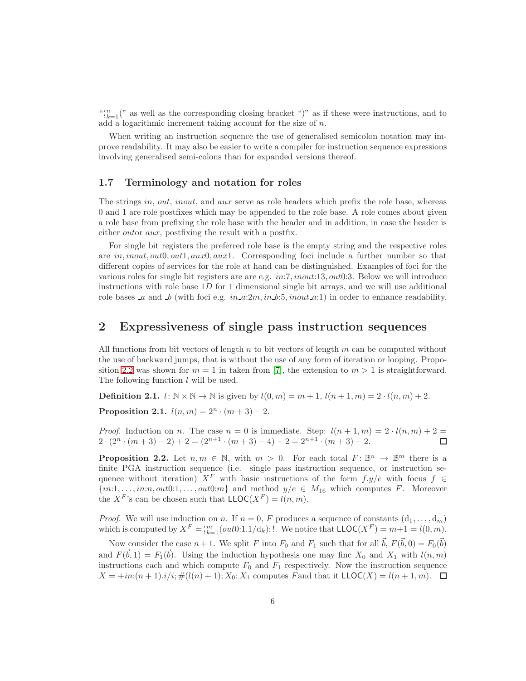$\binom{n}{k=1}$ <sup>"</sup> as well as the corresponding closing bracket ")" as if these were instructions, and to add a logarithmic increment taking account for the size of n.

When writing an instruction sequence the use of generalised semicolon notation may improve readability. It may also be easier to write a compiler for instruction sequence expressions involving generalised semi-colons than for expanded versions thereof.

#### <span id="page-5-0"></span>1.7 Terminology and notation for roles

The strings in, out, inout, and aux serve as role headers which prefix the role base, whereas 0 and 1 are role postfixes which may be appended to the role base. A role comes about given a role base from prefixing the role base with the header and in addition, in case the header is either *outor aux*, postfixing the result with a postfix.

For single bit registers the preferred role base is the empty string and the respective roles are  $in, inout, out0, out1, aux0, aux1.$  Corresponding foci include a further number so that different copies of services for the role at hand can be distinguished. Examples of foci for the various roles for single bit registers are are e.g. in:7, inout:13, out0:3. Below we will introduce instructions with role base  $1D$  for 1 dimensional single bit arrays, and we will use additional role bases a and b (with foci e.g.  $in_a:2m, in_b:5, inout_a:1)$  in order to enhance readability.

# <span id="page-5-1"></span>2 Expressiveness of single pass instruction sequences

All functions from bit vectors of length  $n$  to bit vectors of length  $m$  can be computed without the use of backward jumps, that is without the use of any form of iteration or looping. Propo-sition [2.2](#page-5-2) was shown for  $m = 1$  in taken from [\[7\]](#page-20-7), the extension to  $m > 1$  is straightforward. The following function l will be used.

**Definition 2.1.**  $l: \mathbb{N} \times \mathbb{N} \to \mathbb{N}$  is given by  $l(0, m) = m + 1$ ,  $l(n + 1, m) = 2 \cdot l(n, m) + 2$ .

**Proposition 2.1.**  $l(n, m) = 2^n \cdot (m + 3) - 2$ .

*Proof.* Induction on n. The case  $n = 0$  is immediate. Step:  $l(n + 1, m) = 2 \cdot l(n, m) + 2 =$  $2 \cdot (2^n \cdot (m+3)-2) + 2 = (2^{n+1} \cdot (m+3)-4) + 2 = 2^{n+1} \cdot (m+3)-2.$  $\Box$ 

<span id="page-5-2"></span>**Proposition 2.2.** Let  $n, m \in \mathbb{N}$ , with  $m > 0$ . For each total  $F: \mathbb{B}^n \to \mathbb{B}^m$  there is a finite PGA instruction sequence (i.e. single pass instruction sequence, or instruction sequence without iteration)  $X^F$  with basic instructions of the form  $f.y/e$  with focus  $f \in$  $\{in, 1, \ldots, in:n, out0:1, \ldots, out0:m\}$  and method  $y/e \in M_{16}$  which computes F. Moreover the  $X^F$ 's can be chosen such that  $LLOC(X^F) = l(n, m)$ .

*Proof.* We will use induction on n. If  $n = 0$ , F produces a sequence of constants  $(d_1, \ldots, d_m)$ which is computed by  $X^F = \frac{m}{k+1}(out0:1.1/\overline{d}_k);$  We notice that  $\mathsf{LLOC}(X^F) = m+1 = l(0,m)$ .

Now consider the case  $n+1$ . We split F into  $F_0$  and  $F_1$  such that for all  $\vec{b}$ ,  $F(\vec{b},0) = F_0(\vec{b})$ and  $F(\vec{b}, 1) = F_1(\vec{b})$ . Using the induction hypothesis one may finc  $X_0$  and  $X_1$  with  $l(n, m)$ instructions each and which compute  $F_0$  and  $F_1$  respectively. Now the instruction sequence  $X = \pm in: (n + 1).i/i; \#(l(n) + 1); X_0; X_1$  computes Fand that it  $LLOC(X) = l(n + 1, m)$ .  $\Box$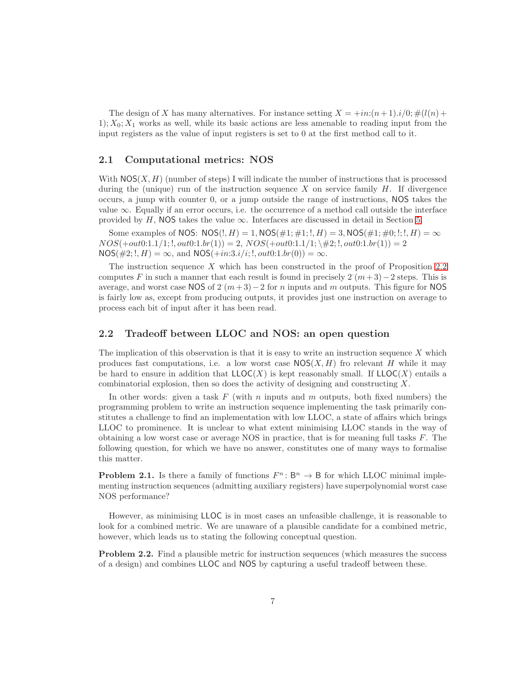The design of X has many alternatives. For instance setting  $X = \pm in:(n+1).i/0;\#(l(n) +$  $1; X_0; X_1$  works as well, while its basic actions are less amenable to reading input from the input registers as the value of input registers is set to 0 at the first method call to it.

#### <span id="page-6-0"></span>2.1 Computational metrics: NOS

With  $NOS(X, H)$  (number of steps) I will indicate the number of instructions that is processed during the (unique) run of the instruction sequence  $X$  on service family  $H$ . If divergence occurs, a jump with counter 0, or a jump outside the range of instructions, NOS takes the value  $\infty$ . Equally if an error occurs, i.e. the occurrence of a method call outside the interface provided by H, NOS takes the value  $\infty$ . Interfaces are discussed in detail in Section [5.](#page-14-0)

Some examples of NOS:  $NOS(:, H) = 1$ ,  $NOS(\#1; \#1; I, H) = 3$ ,  $NOS(\#1; \#0; I; I, H) = \infty$  $NOS(+out0:1.1/1;!, out0:1.br(1)) = 2, NOS(+out0:1.1/1; \#2;!, out0:1.br(1)) = 2$  $NOS(\#2;!, H) = \infty$ , and  $NOS(+in:3.i/i;!, out0:1.br(0)) = \infty$ .

The instruction sequence  $X$  which has been constructed in the proof of Proposition [2.2](#page-5-2) computes F in such a manner that each result is found in precisely  $2(m+3)-2$  steps. This is average, and worst case NOS of  $2^m(n+3)-2$  for n inputs and m outputs. This figure for NOS is fairly low as, except from producing outputs, it provides just one instruction on average to process each bit of input after it has been read.

#### <span id="page-6-1"></span>2.2 Tradeoff between LLOC and NOS: an open question

The implication of this observation is that it is easy to write an instruction sequence  $X$  which produces fast computations, i.e. a low worst case  $NOS(X, H)$  fro relevant H while it may be hard to ensure in addition that  $LLOC(X)$  is kept reasonably small. If  $LLOC(X)$  entails a combinatorial explosion, then so does the activity of designing and constructing X.

In other words: given a task  $F$  (with n inputs and m outputs, both fixed numbers) the programming problem to write an instruction sequence implementing the task primarily constitutes a challenge to find an implementation with low LLOC, a state of affairs which brings LLOC to prominence. It is unclear to what extent minimising LLOC stands in the way of obtaining a low worst case or average NOS in practice, that is for meaning full tasks F. The following question, for which we have no answer, constitutes one of many ways to formalise this matter.

**Problem 2.1.** Is there a family of functions  $F^n : B^n \to B$  for which LLOC minimal implementing instruction sequences (admitting auxiliary registers) have superpolynomial worst case NOS performance?

However, as minimising LLOC is in most cases an unfeasible challenge, it is reasonable to look for a combined metric. We are unaware of a plausible candidate for a combined metric, however, which leads us to stating the following conceptual question.

Problem 2.2. Find a plausible metric for instruction sequences (which measures the success of a design) and combines LLOC and NOS by capturing a useful tradeoff between these.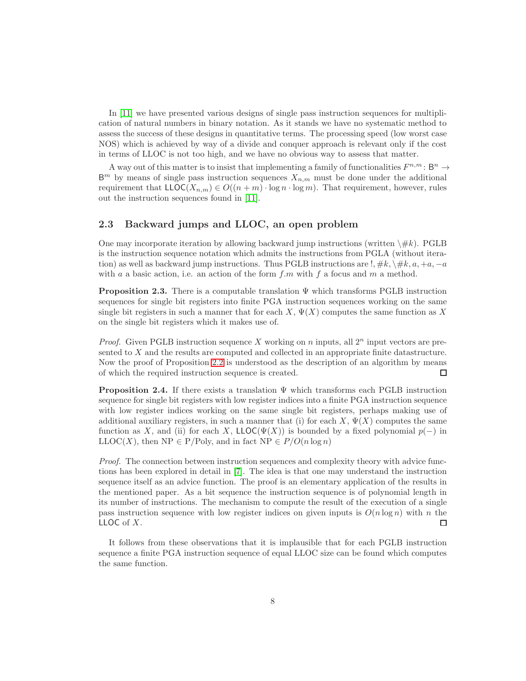In [\[11\]](#page-20-0) we have presented various designs of single pass instruction sequences for multiplication of natural numbers in binary notation. As it stands we have no systematic method to assess the success of these designs in quantitative terms. The processing speed (low worst case NOS) which is achieved by way of a divide and conquer approach is relevant only if the cost in terms of LLOC is not too high, and we have no obvious way to assess that matter.

A way out of this matter is to insist that implementing a family of functionalities  $F^{n,m}$ :  $\mathsf{B}^n \to$  $\mathsf{B}^m$  by means of single pass instruction sequences  $X_{n,m}$  must be done under the additional requirement that  $\mathsf{LLOC}(X_{n,m}) \in O((n+m) \cdot \log n \cdot \log m)$ . That requirement, however, rules out the instruction sequences found in [\[11\]](#page-20-0).

#### <span id="page-7-0"></span>2.3 Backward jumps and LLOC, an open problem

One may incorporate iteration by allowing backward jump instructions (written  $\#k$ ). PGLB is the instruction sequence notation which admits the instructions from PGLA (without iteration) as well as backward jump instructions. Thus PGLB instructions are  $!, \#k, \setminus \#k, a, +a, -a$ with a a basic action, i.e. an action of the form  $f.m$  with f a focus and m a method.

**Proposition 2.3.** There is a computable translation  $\Psi$  which transforms PGLB instruction sequences for single bit registers into finite PGA instruction sequences working on the same single bit registers in such a manner that for each  $X$ ,  $\Psi(X)$  computes the same function as X on the single bit registers which it makes use of.

*Proof.* Given PGLB instruction sequence X working on n inputs, all  $2^n$  input vectors are presented to X and the results are computed and collected in an appropriate finite datastructure. Now the proof of Proposition [2.2](#page-5-2) is understood as the description of an algorithm by means of which the required instruction sequence is created. □

**Proposition 2.4.** If there exists a translation  $\Psi$  which transforms each PGLB instruction sequence for single bit registers with low register indices into a finite PGA instruction sequence with low register indices working on the same single bit registers, perhaps making use of additional auxiliary registers, in such a manner that (i) for each  $X$ ,  $\Psi(X)$  computes the same function as X, and (ii) for each X, LLOC( $\Psi(X)$ ) is bounded by a fixed polynomial  $p(-)$  in LLOC(X), then NP  $\in P/Poly$ , and in fact NP  $\in P/O(n \log n)$ 

Proof. The connection between instruction sequences and complexity theory with advice functions has been explored in detail in [\[7\]](#page-20-7). The idea is that one may understand the instruction sequence itself as an advice function. The proof is an elementary application of the results in the mentioned paper. As a bit sequence the instruction sequence is of polynomial length in its number of instructions. The mechanism to compute the result of the execution of a single pass instruction sequence with low register indices on given inputs is  $O(n \log n)$  with n the LLOC of X. □

It follows from these observations that it is implausible that for each PGLB instruction sequence a finite PGA instruction sequence of equal LLOC size can be found which computes the same function.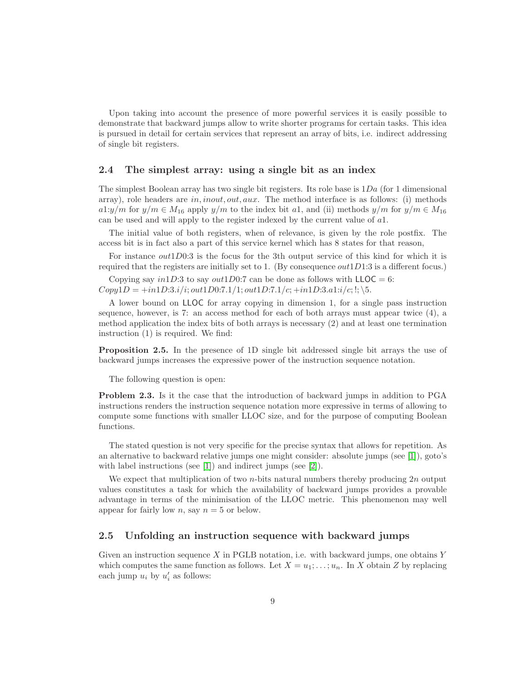Upon taking into account the presence of more powerful services it is easily possible to demonstrate that backward jumps allow to write shorter programs for certain tasks. This idea is pursued in detail for certain services that represent an array of bits, i.e. indirect addressing of single bit registers.

#### <span id="page-8-0"></span>2.4 The simplest array: using a single bit as an index

The simplest Boolean array has two single bit registers. Its role base is  $1Da$  (for 1 dimensional array), role headers are  $in, inout, out, aux$ . The method interface is as follows: (i) methods a1:y/m for  $y/m \in M_{16}$  apply  $y/m$  to the index bit a1, and (ii) methods  $y/m$  for  $y/m \in M_{16}$ can be used and will apply to the register indexed by the current value of a1.

The initial value of both registers, when of relevance, is given by the role postfix. The access bit is in fact also a part of this service kernel which has 8 states for that reason,

For instance out1D0:3 is the focus for the 3th output service of this kind for which it is required that the registers are initially set to 1. (By consequence  $out1D1:3$  is a different focus.)

Copying say  $in1D:3$  to say  $out1D0:7$  can be done as follows with  $LLOC = 6$ :  $Copy1D = +in1D:3.i/i; out1D0:7.1/1; out1D:7.1/c; +in1D:3.a1:i/c;$ 

A lower bound on LLOC for array copying in dimension 1, for a single pass instruction sequence, however, is 7: an access method for each of both arrays must appear twice (4), a method application the index bits of both arrays is necessary (2) and at least one termination instruction (1) is required. We find:

Proposition 2.5. In the presence of 1D single bit addressed single bit arrays the use of backward jumps increases the expressive power of the instruction sequence notation.

The following question is open:

Problem 2.3. Is it the case that the introduction of backward jumps in addition to PGA instructions renders the instruction sequence notation more expressive in terms of allowing to compute some functions with smaller LLOC size, and for the purpose of computing Boolean functions.

The stated question is not very specific for the precise syntax that allows for repetition. As an alternative to backward relative jumps one might consider: absolute jumps (see [\[1\]](#page-20-11)), goto's with label instructions (see [\[1\]](#page-20-11)) and indirect jumps (see [\[2\]](#page-20-4)).

We expect that multiplication of two *n*-bits natural numbers thereby producing  $2n$  output values constitutes a task for which the availability of backward jumps provides a provable advantage in terms of the minimisation of the LLOC metric. This phenomenon may well appear for fairly low  $n$ , say  $n = 5$  or below.

#### <span id="page-8-1"></span>2.5 Unfolding an instruction sequence with backward jumps

Given an instruction sequence  $X$  in PGLB notation, i.e. with backward jumps, one obtains  $Y$ which computes the same function as follows. Let  $X = u_1; \ldots; u_n$ . In X obtain Z by replacing each jump  $u_i$  by  $u'_i$  as follows: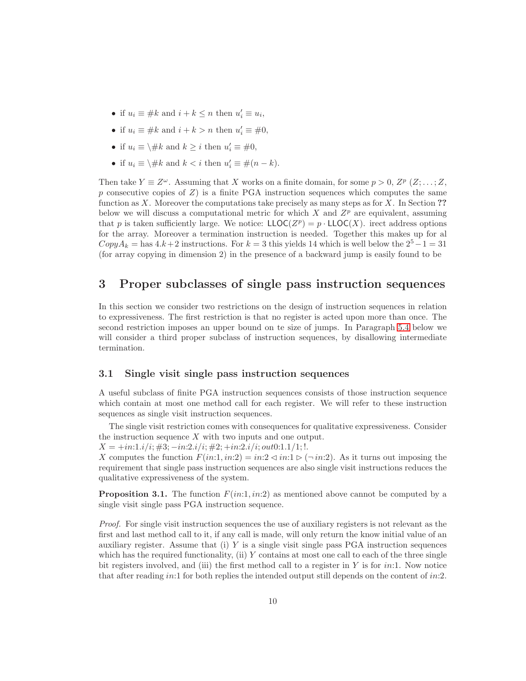- if  $u_i \equiv \#k$  and  $i + k \leq n$  then  $u'_i \equiv u_i$ ,
- if  $u_i \equiv \#k$  and  $i + k > n$  then  $u'_i \equiv \#0$ ,
- if  $u_i \equiv \H \# k$  and  $k \geq i$  then  $u'_i \equiv \# 0$ ,
- if  $u_i \equiv \setminus \# k$  and  $k < i$  then  $u'_i \equiv \#(n k)$ .

Then take  $Y \equiv Z^{\omega}$ . Assuming that X works on a finite domain, for some  $p > 0$ ,  $Z^p(Z; \ldots; Z,$ p consecutive copies of  $Z$ ) is a finite PGA instruction sequences which computes the same function as X. Moreover the computations take precisely as many steps as for X. In Section ?? below we will discuss a computational metric for which  $X$  and  $Z^p$  are equivalent, assuming that p is taken sufficiently large. We notice:  $LLOC(Z^p) = p \cdot LLOC(X)$ . irect address options for the array. Moreover a termination instruction is needed. Together this makes up for al  $CopyA_k =$  has  $4.k+2$  instructions. For  $k = 3$  this yields 14 which is well below the  $2^5-1=31$ (for array copying in dimension 2) in the presence of a backward jump is easily found to be

# <span id="page-9-0"></span>3 Proper subclasses of single pass instruction sequences

In this section we consider two restrictions on the design of instruction sequences in relation to expressiveness. The first restriction is that no register is acted upon more than once. The second restriction imposes an upper bound on te size of jumps. In Paragraph [5.4](#page-17-0) below we will consider a third proper subclass of instruction sequences, by disallowing intermediate termination.

#### <span id="page-9-1"></span>3.1 Single visit single pass instruction sequences

A useful subclass of finite PGA instruction sequences consists of those instruction sequence which contain at most one method call for each register. We will refer to these instruction sequences as single visit instruction sequences.

The single visit restriction comes with consequences for qualitative expressiveness. Consider the instruction sequence X with two inputs and one output.

 $X = \frac{+i\pi \cdot 1 \cdot i}{i; \#3; -i\pi \cdot 2 \cdot i}{i; \#2; +i\pi \cdot 2 \cdot i}{i; \text{out}0.1 \cdot 1/1; \dots}$ 

X computes the function  $F(in:1, in:2) = in:2 \triangleleft in:1 \triangleright (-in:2)$ . As it turns out imposing the requirement that single pass instruction sequences are also single visit instructions reduces the qualitative expressiveness of the system.

**Proposition 3.1.** The function  $F(in:1, in:2)$  as mentioned above cannot be computed by a single visit single pass PGA instruction sequence.

Proof. For single visit instruction sequences the use of auxiliary registers is not relevant as the first and last method call to it, if any call is made, will only return the know initial value of an auxiliary register. Assume that (i) Y is a single visit single pass  $PGA$  instruction sequences which has the required functionality, (ii)  $Y$  contains at most one call to each of the three single bit registers involved, and (iii) the first method call to a register in  $Y$  is for  $in:1$ . Now notice that after reading in:1 for both replies the intended output still depends on the content of in:2.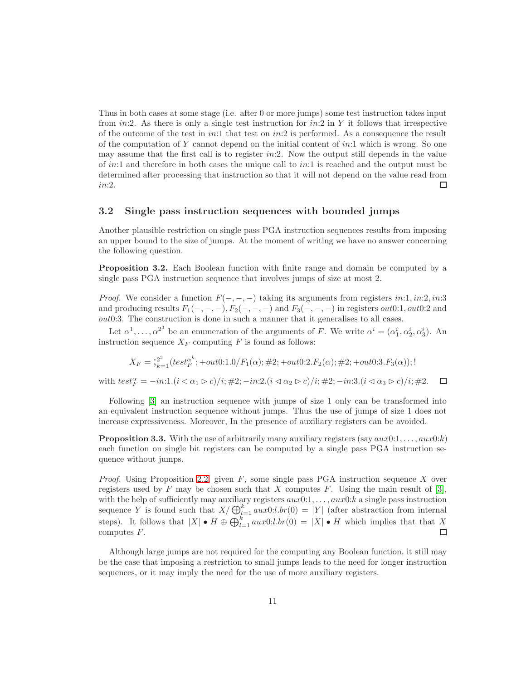Thus in both cases at some stage (i.e. after 0 or more jumps) some test instruction takes input from  $in:2$ . As there is only a single test instruction for  $in:2$  in Y it follows that irrespective of the outcome of the test in  $in:1$  that test on  $in:2$  is performed. As a consequence the result of the computation of Y cannot depend on the initial content of  $in:1$  which is wrong. So one may assume that the first call is to register  $in:2$ . Now the output still depends in the value of in:1 and therefore in both cases the unique call to in:1 is reached and the output must be determined after processing that instruction so that it will not depend on the value read from in:2.  $\Box$ 

#### <span id="page-10-0"></span>3.2 Single pass instruction sequences with bounded jumps

Another plausible restriction on single pass PGA instruction sequences results from imposing an upper bound to the size of jumps. At the moment of writing we have no answer concerning the following question.

<span id="page-10-2"></span>Proposition 3.2. Each Boolean function with finite range and domain be computed by a single pass PGA instruction sequence that involves jumps of size at most 2.

*Proof.* We consider a function  $F(-, -, -)$  taking its arguments from registers in:1, in:2, in:3 and producing results  $F_1(-, -, -), F_2(-, -, -)$  and  $F_3(-, -, -)$  in registers out0:1, out0:2 and out0:3. The construction is done in such a manner that it generalises to all cases.

Let  $\alpha^1, \ldots, \alpha^{2^3}$  be an enumeration of the arguments of F. We write  $\alpha^i = (\alpha_1^i, \alpha_2^i, \alpha_3^i)$ . An instruction sequence  $X_F$  computing F is found as follows:

$$
X_F = \frac{1}{2} e^{2^3} \left( \frac{1}{2} \left( \frac{1}{2} \left( \frac{1}{2} \right)^4 + \frac{1}{2} \left( \frac{1}{2} \right)^4 \right) + \frac{1}{2} \left( \frac{1}{2} \left( \frac{1}{2} \right)^4 + \frac{1}{2} \left( \frac{1}{2} \right)^4 \right) + \frac{1}{2} \left( \frac{1}{2} \left( \frac{1}{2} \right)^4 + \frac{1}{2} \left( \frac{1}{2} \right)^4 \right) + \frac{1}{2} \left( \frac{1}{2} \left( \frac{1}{2} \right)^4 + \frac{1}{2} \left( \frac{1}{2} \right)^4 \right) + \frac{1}{2} \left( \frac{1}{2} \left( \frac{1}{2} \right)^4 + \frac{1}{2} \left( \frac{1}{2} \right)^4 \right) + \frac{1}{2} \left( \frac{1}{2} \left( \frac{1}{2} \right)^4 + \frac{1}{2} \left( \frac{1}{2} \right)^4 \right) + \frac{1}{2} \left( \frac{1}{2} \left( \frac{1}{2} \right)^4 + \frac{1}{2} \left( \frac{1}{2} \right)^4 \right) + \frac{1}{2} \left( \frac{1}{2} \right)^4 \right)
$$

with  $test_F^{\alpha} = -in:1.(i \triangleleft \alpha_1 \triangleright c)/i; \#2;-in:2.(i \triangleleft \alpha_2 \triangleright c)/i; \#2;-in:3.(i \triangleleft \alpha_3 \triangleright c)/i; \#2.$  $\Box$ 

Following [\[3\]](#page-20-2) an instruction sequence with jumps of size 1 only can be transformed into an equivalent instruction sequence without jumps. Thus the use of jumps of size 1 does not increase expressiveness. Moreover, In the presence of auxiliary registers can be avoided.

<span id="page-10-1"></span>**Proposition 3.3.** With the use of arbitrarily many auxiliary registers  $(sav \, aux0:1, \ldots, aux0:k)$ each function on single bit registers can be computed by a single pass PGA instruction sequence without jumps.

*Proof.* Using Proposition [2.2,](#page-5-2) given  $F$ , some single pass PGA instruction sequence X over registers used by F may be chosen such that X computes F. Using the main result of [\[3\]](#page-20-2), with the help of sufficiently may auxiliary registers  $aux0:1, \ldots, aux0: k$  a single pass instruction sequence Y is found such that  $X/\bigoplus_{l=1}^{k} aux0:l.br(0) = |Y|$  (after abstraction from internal steps). It follows that  $|X| \bullet H \oplus \bigoplus_{l=1}^k aux0:l.br(0) = |X| \bullet H$  which implies that that X computes F.

Although large jumps are not required for the computing any Boolean function, it still may be the case that imposing a restriction to small jumps leads to the need for longer instruction sequences, or it may imply the need for the use of more auxiliary registers.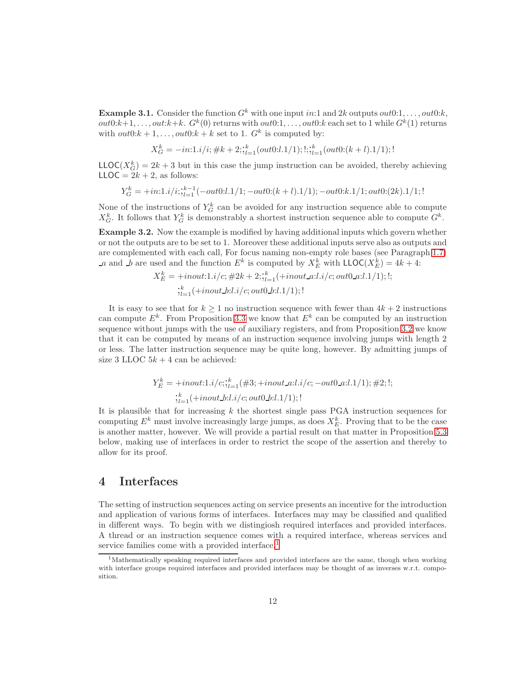**Example 3.1.** Consider the function  $G^k$  with one input in:1 and 2k outputs out0:1, ..., out0:k,  $out0:k+1, \ldots, out:k+k.$   $G^k(0)$  returns with  $out0:1, \ldots, out0:k$  each set to 1 while  $G^k(1)$  returns with  $out0: k+1, \ldots, out0: k+k$  set to 1.  $G^k$  is computed by:

$$
X^k_G = -in: \!\! 1.i/i; \# k+2; \!\! \vdots_{l=1}^{k} (out 0:l.1/1); \!\! 1 \!\! \vdots_{l=1}^{k} (out 0:(k+l).1/1); \!\! !
$$

 $\mathsf{LLOC}(X_G^k) = 2k + 3$  but in this case the jump instruction can be avoided, thereby achieving  $LLOC = 2k + 2$ , as follows:

$$
Y_G^k = +in: 1.i/i; \substack{i=1 \\ i = 1}^{k-1} (-out0:l.1/1; -out0:(k+l).1/1); -out0:k.1/1; out0:(2k).1/1; !
$$

None of the instructions of  $Y_G^k$  can be avoided for any instruction sequence able to compute  $X_G^k$ . It follows that  $Y_G^k$  is demonstrably a shortest instruction sequence able to compute  $G^k$ .

<span id="page-11-2"></span>Example 3.2. Now the example is modified by having additional inputs which govern whether or not the outputs are to be set to 1. Moreover these additional inputs serve also as outputs and are complemented with each call, For focus naming non-empty role bases (see Paragraph [1.7\)](#page-5-0) a and  $\overline{L}b$  are used and the function  $E^k$  is computed by  $X_E^k$  with  $\mathsf{LLOC}(X_E^k) = 4k + 4$ :

$$
X_E^k = +inout: 1.i/c; \#2k + 2; \, \, \vdots_{l=1}^k (+inout\_a:l.i/c; out0\_a:l.1/1); \, \, \vdots
$$
\n
$$
\dot{\xi}_{l=1}^k (+inout\_b:l.i/c; out0\_b:l.1/1); \, \, \vdots
$$

It is easy to see that for  $k \geq 1$  no instruction sequence with fewer than  $4k + 2$  instructions can compute  $E^k$ . From Proposition [3.3](#page-10-1) we know that  $E^k$  can be computed by an instruction sequence without jumps with the use of auxiliary registers, and from Proposition [3.2](#page-10-2) we know that it can be computed by means of an instruction sequence involving jumps with length 2 or less. The latter instruction sequence may be quite long, however. By admitting jumps of size 3 LLOC  $5k + 4$  can be achieved:

$$
Y_E^k = +inout: 1.i/c; \frac{k}{1-i}(\#3; +inout\_a: l.i/c; -out0\_a: l.1/1); \#2; !;
$$
  

$$
\frac{k}{l!i} + inout\_b: l.i/c; out0\_b: l.1/1); !
$$

It is plausible that for increasing  $k$  the shortest single pass PGA instruction sequences for computing  $E^k$  must involve increasingly large jumps, as does  $X_E^k$ . Proving that to be the case is another matter, however. We will provide a partial result on that matter in Proposition [5.3](#page-17-1) below, making use of interfaces in order to restrict the scope of the assertion and thereby to allow for its proof.

# <span id="page-11-0"></span>4 Interfaces

The setting of instruction sequences acting on service presents an incentive for the introduction and application of various forms of interfaces. Interfaces may may be classified and qualified in different ways. To begin with we distingiosh required interfaces and provided interfaces. A thread or an instruction sequence comes with a required interface, whereas services and service families come with a provided interface.<sup>[1](#page-11-1)</sup>

<span id="page-11-1"></span> $1<sup>1</sup>$ Mathematically speaking required interfaces and provided interfaces are the same, though when working with interface groups required interfaces and provided interfaces may be thought of as inverses w.r.t. composition.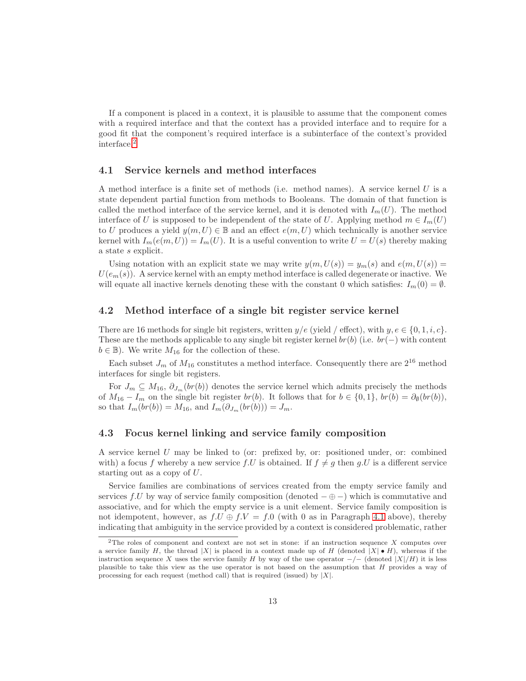If a component is placed in a context, it is plausible to assume that the component comes with a required interface and that the context has a provided interface and to require for a good fit that the component's required interface is a subinterface of the context's provided interface.[2](#page-12-3)

#### <span id="page-12-0"></span>4.1 Service kernels and method interfaces

A method interface is a finite set of methods (i.e. method names). A service kernel U is a state dependent partial function from methods to Booleans. The domain of that function is called the method interface of the service kernel, and it is denoted with  $I_m(U)$ . The method interface of U is supposed to be independent of the state of U. Applying method  $m \in I_m(U)$ to U produces a yield  $y(m, U) \in \mathbb{B}$  and an effect  $e(m, U)$  which technically is another service kernel with  $I_m(e(m, U)) = I_m(U)$ . It is a useful convention to write  $U = U(s)$  thereby making a state s explicit.

Using notation with an explicit state we may write  $y(m, U(s)) = y_m(s)$  and  $e(m, U(s)) =$  $U(e_m(s))$ . A service kernel with an empty method interface is called degenerate or inactive. We will equate all inactive kernels denoting these with the constant 0 which satisfies:  $I_m(0) = \emptyset$ .

#### <span id="page-12-1"></span>4.2 Method interface of a single bit register service kernel

There are 16 methods for single bit registers, written  $y/e$  (yield / effect), with  $y, e \in \{0, 1, i, c\}$ . These are the methods applicable to any single bit register kernel  $br(b)$  (i.e.  $br(-)$  with content  $b \in \mathbb{B}$ ). We write  $M_{16}$  for the collection of these.

Each subset  $J_m$  of  $M_{16}$  constitutes a method interface. Consequently there are  $2^{16}$  method interfaces for single bit registers.

For  $J_m \subseteq M_{16}$ ,  $\partial_{J_m}(br(b))$  denotes the service kernel which admits precisely the methods of  $M_{16} - I_m$  on the single bit register  $br(b)$ . It follows that for  $b \in \{0,1\}$ ,  $br(b) = \partial_{\theta}(br(b)),$ so that  $I_m(br(b)) = M_{16}$ , and  $I_m(\partial_{J_m}(br(b))) = J_m$ .

### <span id="page-12-2"></span>4.3 Focus kernel linking and service family composition

A service kernel U may be linked to (or: prefixed by, or: positioned under, or: combined with) a focus f whereby a new service f.U is obtained. If  $f \neq g$  then g.U is a different service starting out as a copy of U.

Service families are combinations of services created from the empty service family and services f.U by way of service family composition (denoted  $-\oplus$  –) which is commutative and associative, and for which the empty service is a unit element. Service family composition is not idempotent, however, as  $f.U \oplus f.V = f.0$  (with 0 as in Paragraph [4.1](#page-12-0) above), thereby indicating that ambiguity in the service provided by a context is considered problematic, rather

<span id="page-12-3"></span><sup>&</sup>lt;sup>2</sup>The roles of component and context are not set in stone: if an instruction sequence X computes over a service family H, the thread |X| is placed in a context made up of H (denoted  $|X| \bullet H$ ), whereas if the instruction sequence X uses the service family H by way of the use operator  $-/-$  (denoted  $|X|/H$ ) it is less plausible to take this view as the use operator is not based on the assumption that H provides a way of processing for each request (method call) that is required (issued) by  $|X|$ .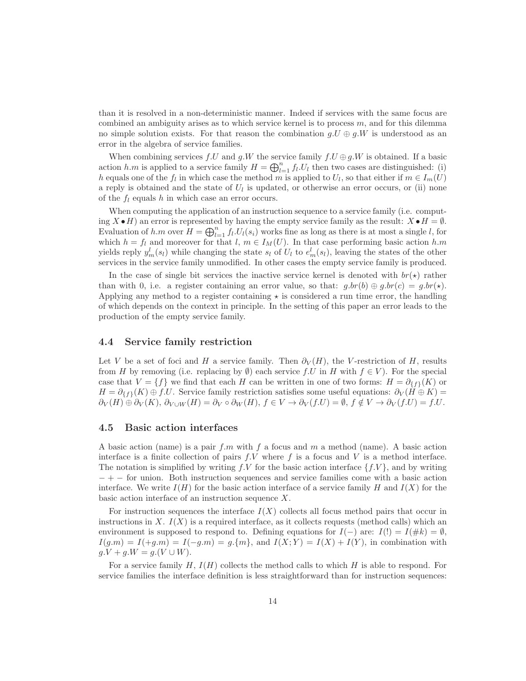than it is resolved in a non-deterministic manner. Indeed if services with the same focus are combined an ambiguity arises as to which service kernel is to process  $m$ , and for this dilemma no simple solution exists. For that reason the combination  $q.U \oplus q.W$  is understood as an error in the algebra of service families.

When combining services f.U and g.W the service family  $f.U \oplus g.W$  is obtained. If a basic action h.m is applied to a service family  $H = \bigoplus_{l=1}^{n} f_l U_l$  then two cases are distinguished: (i) h equals one of the  $f_l$  in which case the method m is applied to  $U_l$ , so that either if  $m \in I_m(U)$ a reply is obtained and the state of  $U<sub>l</sub>$  is updated, or otherwise an error occurs, or (ii) none of the  $f_l$  equals h in which case an error occurs.

When computing the application of an instruction sequence to a service family (i.e. computing  $X \bullet H$ ) an error is represented by having the empty service family as the result:  $X \bullet H = \emptyset$ . Evaluation of h.m over  $H = \bigoplus_{l=1}^{n} f_l.U_l(s_i)$  works fine as long as there is at most a single l, for which  $h = f_l$  and moreover for that  $l, m \in I_M(U)$ . In that case performing basic action h.m yields reply  $y_m^l(s_l)$  while changing the state  $s_l$  of  $U_l$  to  $e_m^l(s_l)$ , leaving the states of the other services in the service family unmodified. In other cases the empty service family is produced.

In the case of single bit services the inactive service kernel is denoted with  $br(\star)$  rather than with 0, i.e. a register containing an error value, so that:  $q.br(b) \oplus q.br(c) = q.br(\star)$ . Applying any method to a register containing  $\star$  is considered a run time error, the handling of which depends on the context in principle. In the setting of this paper an error leads to the production of the empty service family.

#### <span id="page-13-0"></span>4.4 Service family restriction

Let V be a set of foci and H a service family. Then  $\partial_V(H)$ , the V-restriction of H, results from H by removing (i.e. replacing by  $\emptyset$ ) each service f.U in H with  $f \in V$ ). For the special case that  $V = \{f\}$  we find that each H can be written in one of two forms:  $H = \partial_{\{f\}}(K)$  or  $H = \partial_{\{f\}}(K) \oplus f.U.$  Service family restriction satisfies some useful equations:  $\partial_V(H \oplus K) =$  $\partial_V(H) \oplus \partial_V(K)$ ,  $\partial_{V \cup W}(H) = \partial_V \circ \partial_W(H)$ ,  $f \in V \to \partial_V(f.U) = \emptyset$ ,  $f \notin V \to \partial_V(f.U) = f.U$ .

#### <span id="page-13-1"></span>4.5 Basic action interfaces

A basic action (name) is a pair  $f.m$  with f a focus and m a method (name). A basic action interface is a finite collection of pairs  $f.V$  where f is a focus and V is a method interface. The notation is simplified by writing f.V for the basic action interface  $\{f.V\}$ , and by writing − + − for union. Both instruction sequences and service families come with a basic action interface. We write  $I(H)$  for the basic action interface of a service family H and  $I(X)$  for the basic action interface of an instruction sequence X.

For instruction sequences the interface  $I(X)$  collects all focus method pairs that occur in instructions in X.  $I(X)$  is a required interface, as it collects requests (method calls) which an environment is supposed to respond to. Defining equations for  $I(-)$  are:  $I(!) = I(\#k) = \emptyset$ ,  $I(g.m) = I(+g.m) = I(-g.m) = g\{m\}$ , and  $I(X;Y) = I(X) + I(Y)$ , in combination with  $g.V + g.W = g.(V \cup W).$ 

For a service family  $H, I(H)$  collects the method calls to which H is able to respond. For service families the interface definition is less straightforward than for instruction sequences: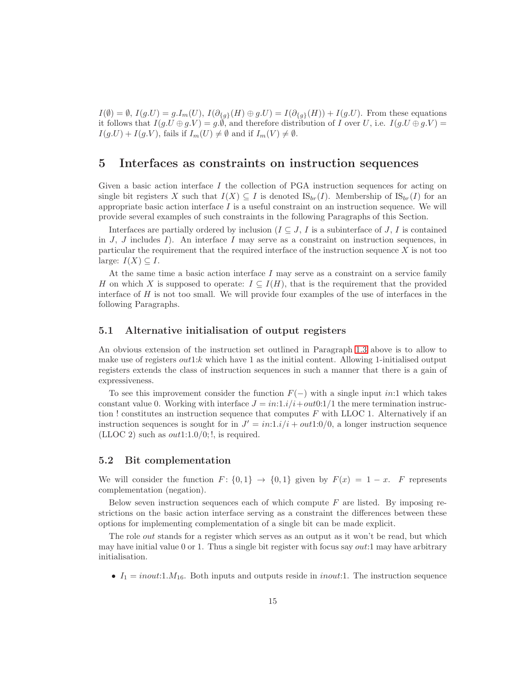$I(\emptyset) = \emptyset$ ,  $I(g.U) = g.I_m(U)$ ,  $I(\partial_{\{g\}}(H) \oplus g.U) = I(\partial_{\{g\}}(H)) + I(g.U)$ . From these equations it follows that  $I(g.U \oplus g.V) = g.\emptyset$ , and therefore distribution of I over U, i.e.  $I(g.U \oplus g.V) =$  $I(g.U) + I(g.V)$ , fails if  $I_m(U) \neq \emptyset$  and if  $I_m(V) \neq \emptyset$ .

### <span id="page-14-0"></span>5 Interfaces as constraints on instruction sequences

Given a basic action interface  $I$  the collection of PGA instruction sequences for acting on single bit registers X such that  $I(X) \subseteq I$  is denoted  $\text{IS}_{br}(I)$ . Membership of  $\text{IS}_{br}(I)$  for an appropriate basic action interface  $I$  is a useful constraint on an instruction sequence. We will provide several examples of such constraints in the following Paragraphs of this Section.

Interfaces are partially ordered by inclusion ( $I \subseteq J$ , I is a subinterface of J, I is contained in J, J includes I). An interface I may serve as a constraint on instruction sequences, in particular the requirement that the required interface of the instruction sequence  $X$  is not too large:  $I(X) \subseteq I$ .

At the same time a basic action interface  $I$  may serve as a constraint on a service family H on which X is supposed to operate:  $I \subseteq I(H)$ , that is the requirement that the provided interface of  $H$  is not too small. We will provide four examples of the use of interfaces in the following Paragraphs.

#### <span id="page-14-1"></span>5.1 Alternative initialisation of output registers

An obvious extension of the instruction set outlined in Paragraph [1.3](#page-3-0) above is to allow to make use of registers  $out1:k$  which have 1 as the initial content. Allowing 1-initialised output registers extends the class of instruction sequences in such a manner that there is a gain of expressiveness.

To see this improvement consider the function  $F(-)$  with a single input in:1 which takes constant value 0. Working with interface  $J = in:1.i/i + out0:1/1$  the mere termination instruction ! constitutes an instruction sequence that computes  $F$  with LLOC 1. Alternatively if an instruction sequences is sought for in  $J' = in:1.i/i + out1:0/0$ , a longer instruction sequence (LLOC 2) such as  $out1:1.0/0;!$ , is required.

#### <span id="page-14-2"></span>5.2 Bit complementation

We will consider the function  $F: \{0,1\} \rightarrow \{0,1\}$  given by  $F(x) = 1 - x$ . F represents complementation (negation).

Below seven instruction sequences each of which compute  $F$  are listed. By imposing restrictions on the basic action interface serving as a constraint the differences between these options for implementing complementation of a single bit can be made explicit.

The role *out* stands for a register which serves as an output as it won't be read, but which may have initial value 0 or 1. Thus a single bit register with focus say  $out:1$  may have arbitrary initialisation.

•  $I_1 = inout:1.M_{16}$ . Both inputs and outputs reside in inout: 1. The instruction sequence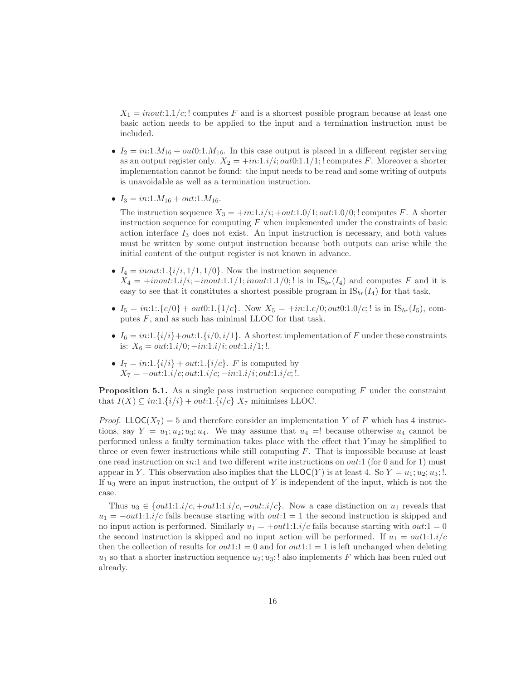$X_1 = inout:1.1/c;!$  computes F and is a shortest possible program because at least one basic action needs to be applied to the input and a termination instruction must be included.

- $I_2 = in:1.M_{16} + out0:1.M_{16}$ . In this case output is placed in a different register serving as an output register only.  $X_2 = +in:1.i/i; out0:1.1/1;!$  computes F. Moreover a shorter implementation cannot be found: the input needs to be read and some writing of outputs is unavoidable as well as a termination instruction.
- $I_3 = in:1.M_{16} + out:1.M_{16}.$

The instruction sequence  $X_3 = +in:1.i/i; +out:1.0/1; out:1.0/0; !$  computes F. A shorter instruction sequence for computing  $F$  when implemented under the constraints of basic action interface  $I_3$  does not exist. An input instruction is necessary, and both values must be written by some output instruction because both outputs can arise while the initial content of the output register is not known in advance.

- $I_4 = inout:1.\{i/i, 1/1, 1/0\}$ . Now the instruction sequence  $X_4 = +inout: 1.i/i; -inout: 1.1/1; inout: 1.1/0;!$  is in  $IS_{br}(I_4)$  and computes F and it is easy to see that it constitutes a shortest possible program in  $IS_{br}(I_4)$  for that task.
- $I_5 = in:1: \{c/0\} + out0:1. \{1/c\}$ . Now  $X_5 = +in:1.c/0$ ;  $out0:1.0/c$ ; ! is in  $\mathcal{S}_{br}(I_5)$ , computes  $F$ , and as such has minimal LLOC for that task.
- $I_6 = in:1.\{i/i\}+out:1.\{i/0,i/1\}$ . A shortest implementation of F under these constraints is:  $X_6 = out:1.i/0; -in:1.i/i; out:1.i/1;$
- $I_7 = in:1.\{i/i\} + out:1.\{i/c\}$ . *F* is computed by  $X_7 = -out:1.i/c; out:1.i/c; -in:1.i/i; out:1.i/c; !.$

**Proposition 5.1.** As a single pass instruction sequence computing  $F$  under the constraint that  $I(X) \subseteq in: 1.\{i/i\} + out: 1.\{i/c\}$   $X_7$  minimises LLOC.

*Proof.* LLOC( $X_7$ ) = 5 and therefore consider an implementation Y of F which has 4 instructions, say  $Y = u_1; u_2; u_3; u_4$ . We may assume that  $u_4 =$ ! because otherwise  $u_4$  cannot be performed unless a faulty termination takes place with the effect that Y may be simplified to three or even fewer instructions while still computing  $F$ . That is impossible because at least one read instruction on in:1 and two different write instructions on *out*:1 (for 0 and for 1) must appear in Y. This observation also implies that the  $LLOC(Y)$  is at least 4. So  $Y = u_1; u_2; u_3;$ ! If  $u_3$  were an input instruction, the output of Y is independent of the input, which is not the case.

Thus  $u_3 \in \{out1:1.i/c, +out1:1.i/c, -out:i/c\}$ . Now a case distinction on  $u_1$  reveals that  $u_1 = -\omega t \cdot 1$ :1.i/c fails because starting with  $\omega t$ :1 = 1 the second instruction is skipped and no input action is performed. Similarly  $u_1 = +out1:1.i/c$  fails because starting with  $out:1 = 0$ the second instruction is skipped and no input action will be performed. If  $u_1 = out1:1.i/c$ then the collection of results for  $out1:1 = 0$  and for  $out1:1 = 1$  is left unchanged when deleting  $u_1$  so that a shorter instruction sequence  $u_2$ ;  $u_3$ ; ! also implements F which has been ruled out already.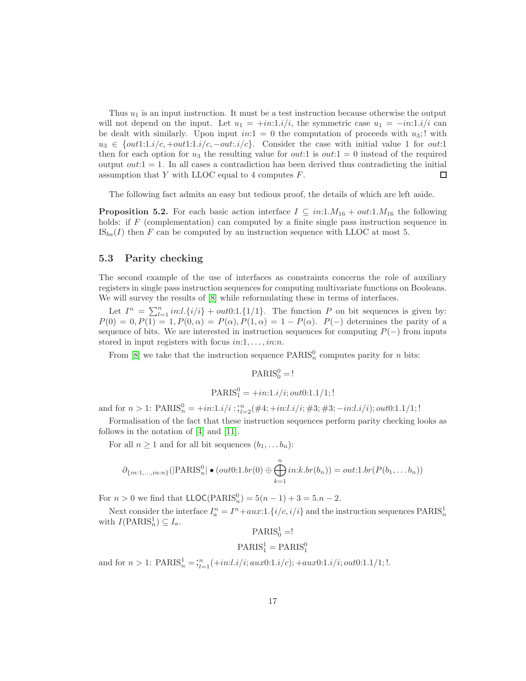Thus  $u_1$  is an input instruction. It must be a test instruction because otherwise the output will not depend on the input. Let  $u_1 = \pm in:1.i/i$ , the symmetric case  $u_1 = \pm in:1.i/i$  can be dealt with similarly. Upon input  $in:1 = 0$  the computation of proceeds with  $u_3$ ; with  $u_3 \in \{out1:1.i/c, +out1:1.i/c, -out:i/c\}$ . Consider the case with initial value 1 for out:1 then for each option for  $u_3$  the resulting value for *out*:1 is *out*:1 = 0 instead of the required output  $out:1 = 1$ . In all cases a contradiction has been derived thus contradicting the initial assumption that  $Y$  with LLOC equal to 4 computes  $F$ .  $\Box$ 

The following fact admits an easy but tedious proof, the details of which are left aside.

**Proposition 5.2.** For each basic action interface  $I \subseteq in: 1.M_{16} + out: 1.M_{16}$  the following holds: if F (complementation) can computed by a finite single pass instruction sequence in  $\text{IS}_{ba}(I)$  then F can be computed by an instruction sequence with LLOC at most 5.

#### <span id="page-16-0"></span>5.3 Parity checking

The second example of the use of interfaces as constraints concerns the role of auxiliary registers in single pass instruction sequences for computing multivariate functions on Booleans. We will survey the results of [\[8\]](#page-20-8) while reformulating these in terms of interfaces.

Let  $I^n = \sum_{l=1}^n in:l \{i/i\} + out0:1 \{1/1\}$ . The function P on bit sequences is given by:  $P(0) = 0, P(1) = 1, P(0, \alpha) = P(\alpha), P(1, \alpha) = 1 - P(\alpha).$  P(-) determines the parity of a sequence of bits. We are interested in instruction sequences for computing  $P(-)$  from inputs stored in input registers with focus  $in:1, \ldots, in:n$ .

From [\[8\]](#page-20-8) we take that the instruction sequence  $\text{PARIS}_n^0$  computes parity for *n* bits:

$$
\mathrm{PARIS}^0_0 =!
$$

$$
{\rm PARIS}_1^0=+in:1.i/i; out0:1.1/1;!
$$

and for  $n > 1$ : PARIS $_n^0 = \frac{+in:1.i/i}$ ;  $\frac{n}{i!}$   $\frac{1}{i!}$   $\frac{4i}{i}$ ;  $\frac{+in:1.i/i}{i}$ ;  $\frac{43}{i}$ ;  $\frac{1}{i}$   $\frac{1}{i}$ ;  $\frac{1}{i}$   $\frac{1}{i}$ ;  $\frac{1}{i}$ 

Formalisation of the fact that these instruction sequences perform parity checking looks as follows in the notation of [\[4\]](#page-20-5) and [\[11\]](#page-20-0).

For all  $n \geq 1$  and for all bit sequences  $(b_1, \ldots b_n)$ :

$$
\partial_{\{in:1,\ldots,in:n\}}(|\text{PARIS}_n^0| \bullet (out0:1.br(0) \oplus \bigoplus_{k=1}^n in:k.br(b_n)) = out:1.br(P(b_1,\ldots b_n))
$$

For  $n > 0$  we find that  $\text{LLOC}(\text{PARIS}_n^0) = 5(n-1) + 3 = 5.n - 2$ .

Next consider the interface  $I_a^n = I^n + aux:1.\{i/c, i/i\}$  and the instruction sequences  $\text{PARIS}_n^1$ with  $I(\text{PARIS}_n^1) \subseteq I_a$ .

$$
\mathrm{PARIS}^1_0 =!
$$

$$
PARIS_1^1 = PARIS_1^0
$$

and for  $n > 1$ :  $\text{PARIS}_n^1 = \frac{n}{i!} + \frac{1}{i!} \cdot \frac{i}{i!}$  aux $0:1.i/c$ ;  $+ \frac{aux0:1.i/i}{iv0:1}.1/1;$ !.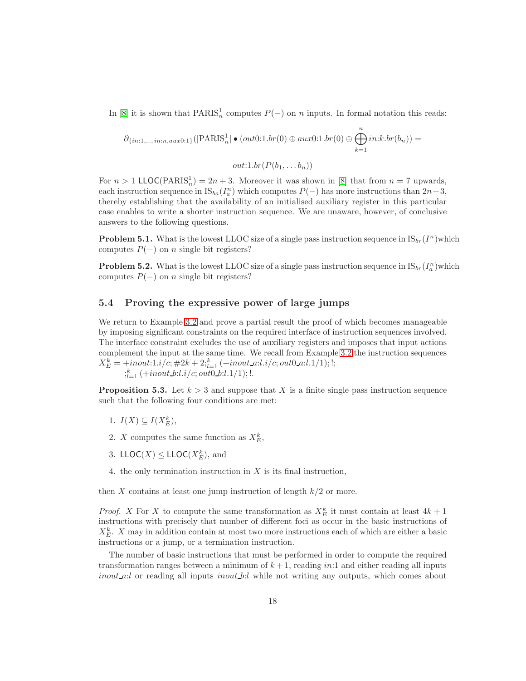In [\[8\]](#page-20-8) it is shown that  $\text{PARIS}_n^1$  computes  $P(-)$  on n inputs. In formal notation this reads:

$$
\partial_{\{in:1,\ldots,in:n,aux0:1\}}(|\text{PARIS}_n^1| \bullet (out0:1.br(0) \oplus aux0:1.br(0) \oplus \bigoplus_{k=1}^n in:k.br(b_n)) = out:1.br(P(b_1,\ldots,b_n))
$$

For  $n > 1$  LLOC(PARIS<sub>n</sub><sup>1</sup>) = 2n + 3. Moreover it was shown in [\[8\]](#page-20-8) that from  $n = 7$  upwards, each instruction sequence in  $\text{IS}_{ba}(I_a^n)$  which computes  $P(-)$  has more instructions than  $2n+3$ , thereby establishing that the availability of an initialised auxiliary register in this particular case enables to write a shorter instruction sequence. We are unaware, however, of conclusive answers to the following questions.

**Problem 5.1.** What is the lowest LLOC size of a single pass instruction sequence in  $IS_{br}(I^n)$  which computes  $P(-)$  on n single bit registers?

**Problem 5.2.** What is the lowest LLOC size of a single pass instruction sequence in  $IS_{br}(I_a^n)$  which computes  $P(-)$  on n single bit registers?

### <span id="page-17-0"></span>5.4 Proving the expressive power of large jumps

We return to Example [3.2](#page-11-2) and prove a partial result the proof of which becomes manageable by imposing significant constraints on the required interface of instruction sequences involved. The interface constraint excludes the use of auxiliary registers and imposes that input actions complement the input at the same time. We recall from Example [3.2](#page-11-2) the instruction sequences  $X_E^k = +inout: 1.i/c; \#2k + 2;_{l=1}^k (\text{+inout a:} l.i/c; out0 a: l.1/1); !;$  $\frac{k}{k!}$  (+inout\_b:l.i/c; out0\_b:l.1/1);!.

<span id="page-17-1"></span>**Proposition 5.3.** Let  $k > 3$  and suppose that X is a finite single pass instruction sequence such that the following four conditions are met:

- 1.  $I(X) \subseteq I(X_E^k)$ ,
- 2. X computes the same function as  $X_E^k$ ,
- 3. LLOC( $X$ )  $\leq$  LLOC( $X_E^k$ ), and
- 4. the only termination instruction in  $X$  is its final instruction,

then X contains at least one jump instruction of length  $k/2$  or more.

*Proof.* X For X to compute the same transformation as  $X_E^k$  it must contain at least  $4k+1$ instructions with precisely that number of different foci as occur in the basic instructions of  $X_E^k$ . X may in addition contain at most two more instructions each of which are either a basic instructions or a jump, or a termination instruction.

The number of basic instructions that must be performed in order to compute the required transformation ranges between a minimum of  $k + 1$ , reading in:1 and either reading all inputs *inout a:l* or reading all inputs *inout b:l* while not writing any outputs, which comes about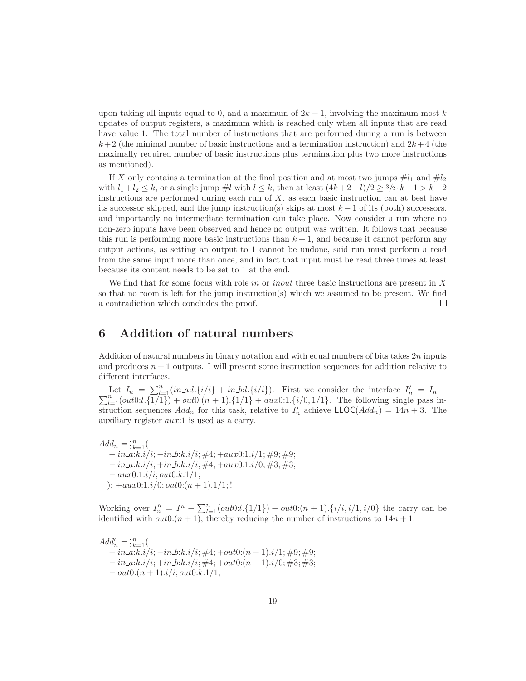upon taking all inputs equal to 0, and a maximum of  $2k + 1$ , involving the maximum most k updates of output registers, a maximum which is reached only when all inputs that are read have value 1. The total number of instructions that are performed during a run is between  $k+2$  (the minimal number of basic instructions and a termination instruction) and  $2k+4$  (the maximally required number of basic instructions plus termination plus two more instructions as mentioned).

If X only contains a termination at the final position and at most two jumps  $\#l_1$  and  $\#l_2$ with  $l_1 + l_2 \leq k$ , or a single jump  $\#l$  with  $l \leq k$ , then at least  $(4k + 2 - l)/2 \geq \frac{3}{2} \cdot k + 1 > k + 2$ instructions are performed during each run of  $X$ , as each basic instruction can at best have its successor skipped, and the jump instruction(s) skips at most  $k - 1$  of its (both) successors, and importantly no intermediate termination can take place. Now consider a run where no non-zero inputs have been observed and hence no output was written. It follows that because this run is performing more basic instructions than  $k + 1$ , and because it cannot perform any output actions, as setting an output to 1 cannot be undone, said run must perform a read from the same input more than once, and in fact that input must be read three times at least because its content needs to be set to 1 at the end.

We find that for some focus with role in or inout three basic instructions are present in X so that no room is left for the jump instruction(s) which we assumed to be present. We find a contradiction which concludes the proof.  $\Box$ 

# <span id="page-18-0"></span>6 Addition of natural numbers

Addition of natural numbers in binary notation and with equal numbers of bits takes  $2n$  inputs and produces  $n+1$  outputs. I will present some instruction sequences for addition relative to different interfaces.

Let  $I_n = \sum_{l=1}^n (in\_a:l.\{i/i\} + in\_b:l.\{i/i\})$ . First we consider the interface  $I'_n = I_n + \sum_{l=1}^n (out0:l.\{1/1\}) + out0:(n + 1).\{1/1\} + aux0:1.\{i/0, 1/1\}$ . The following single pass instruction sequences  $Add_n$  for this task, relative to  $I'_n$  achieve  $LLOC(Add_n) = 14n + 3$ . The auxiliary register aux:1 is used as a carry.

 $Add_n = \mathfrak{Z}_{k=1}^n ($  $+ in_a: k.i/i; -in_b: k.i/i; \#4; + aux0:1.i/1; \#9; \#9;$  $-$  in\_a:k.i/i;  $+i$ n\_b:k.i/i;  $\#4$ ;  $+$ aux0:1.i/0;  $\#3$ ;  $\#3$ ;  $- aux0:1.i/i; out0:k.1/1;$ );  $+aux0:1.i/0; out0:(n + 1).1/1;!$ 

Working over  $I''_n = I^n + \sum_{l=1}^n(out0:l.\{1/1\}) + out0:(n+1).\{i/i, i/1, i/0\}$  the carry can be identified with  $out0:(n + 1)$ , thereby reducing the number of instructions to  $14n + 1$ .

 $Add'_n = \overline{\mathfrak{z}}_{k=1}^n$  $+ in\_a:k.i/i; - in\_b:k.i/i; \#4; + out0:(n + 1).i/1; \#9; \#9;$  $- in_a:k.i/i; +in_b:k.i/i; \#4; +out0:(n + 1).i/0; \#3; \#3;$  $-$  out0: $(n + 1)$ .i/i; out0: $k$ .1/1;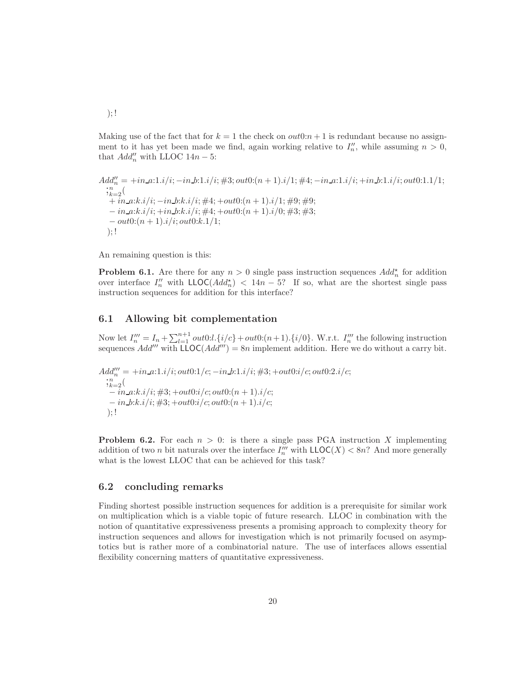Making use of the fact that for  $k = 1$  the check on  $out0:n + 1$  is redundant because no assignment to it has yet been made we find, again working relative to  $I''_n$ , while assuming  $n > 0$ , that  $Add''_n$  with LLOC  $14n - 5$ :

Add"<sub>n</sub> = +*in*.*a*:1*.*i*/*i*; -*in*.*b*:1*.*i*/*i*; #3; out0:(n + 1).*i*/1; #4; -*in*.*a*:1*.*i*/*i*; +*in*.*b*:1*.*i*/*i*; out0:1.1/1;  
\n;  
\n;  
\n;  
\n;  
\n
$$
{}^{n}_{k=2}
$$
\n  
\n+ *in*.*a*:*k*.*i*/*i*; -*in*.*b*:*k*.*i*/*i*; #4; +out0:(n + 1).*i*/1; #9; #9;  
\n- *in*.*a*:*k*.*i*/*i*; +*in*.*b*:*k*.*i*/*i*; #4; +out0:(n + 1).*i*/0; #3; #3;  
\n- out0:(n + 1).*i*/*i*; out0:*k*.1/1;  
\n);!****

An remaining question is this:

**Problem 6.1.** Are there for any  $n > 0$  single pass instruction sequences  $Add_n^{\star}$  for addition over interface  $I''_n$  with  $\mathsf{LLOC}(Add^*_n) < 14n - 5$ ? If so, what are the shortest single pass instruction sequences for addition for this interface?

#### <span id="page-19-0"></span>6.1 Allowing bit complementation

Now let  $I''_n = I_n + \sum_{l=1}^{n+1} out0:l.\{i/c\} + out0:(n+1).\{i/0\}$ . W.r.t.  $I''_n$  the following instruction sequences Add''' with  $\overline{\text{L} \text{OC}}(Add''') = 8n$  implement addition. Here we do without a carry bit.

$$
Add''_n = +in.a:1.i/i; out0:1/c; -in.b:1.i/i; #3; +out0:i/c; out0:2.i/c;\n;^nk=2(\n-in.a:k.i/i; #3; +out0:i/c; out0:(n + 1).i/c;\n-in.b:k.i/i; #3; +out0:i/c; out0:(n + 1).i/c;\n);!
$$

**Problem 6.2.** For each  $n > 0$ : is there a single pass PGA instruction X implementing addition of two *n* bit naturals over the interface  $I''''_n$  with  $\mathsf{LLOC}(X) < 8n$ ? And more generally what is the lowest LLOC that can be achieved for this task?

#### <span id="page-19-1"></span>6.2 concluding remarks

Finding shortest possible instruction sequences for addition is a prerequisite for similar work on multiplication which is a viable topic of future research. LLOC in combination with the notion of quantitative expressiveness presents a promising approach to complexity theory for instruction sequences and allows for investigation which is not primarily focused on asymptotics but is rather more of a combinatorial nature. The use of interfaces allows essential flexibility concerning matters of quantitative expressiveness.

 $); !$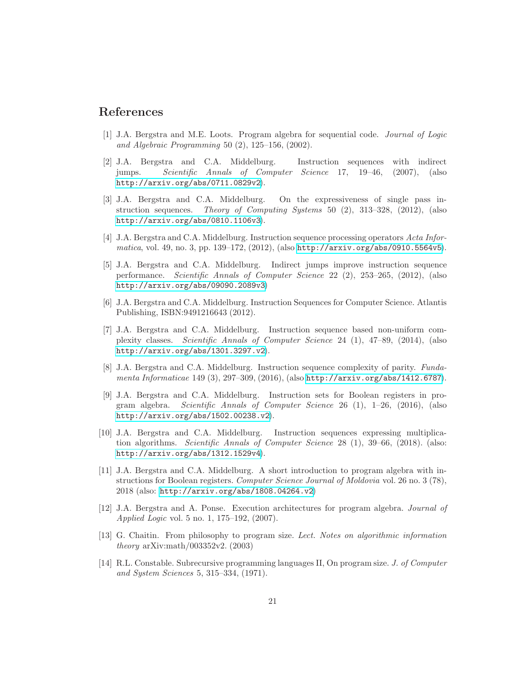# <span id="page-20-11"></span>References

- [1] J.A. Bergstra and M.E. Loots. Program algebra for sequential code. Journal of Logic and Algebraic Programming 50  $(2)$ , 125–156,  $(2002)$ .
- <span id="page-20-4"></span>[2] J.A. Bergstra and C.A. Middelburg. Instruction sequences with indirect jumps. Scientific Annals of Computer Science 17, 19–46, (2007), (also <http://arxiv.org/abs/0711.0829v2>).
- <span id="page-20-2"></span>[3] J.A. Bergstra and C.A. Middelburg. On the expressiveness of single pass instruction sequences. Theory of Computing Systems 50 (2), 313–328, (2012), (also <http://arxiv.org/abs/0810.1106v3>).
- <span id="page-20-5"></span>[4] J.A. Bergstra and C.A. Middelburg. Instruction sequence processing operators Acta Informatica, vol. 49, no. 3, pp. 139–172, (2012), (also <http://arxiv.org/abs/0910.5564v5>).
- [5] J.A. Bergstra and C.A. Middelburg. Indirect jumps improve instruction sequence performance. Scientific Annals of Computer Science 22 (2), 253–265, (2012), (also <http://arxiv.org/abs/09090.2089v3>)
- <span id="page-20-6"></span>[6] J.A. Bergstra and C.A. Middelburg. Instruction Sequences for Computer Science. Atlantis Publishing, ISBN:9491216643 (2012).
- <span id="page-20-7"></span>[7] J.A. Bergstra and C.A. Middelburg. Instruction sequence based non-uniform complexity classes. Scientific Annals of Computer Science 24 (1), 47–89, (2014), (also <http://arxiv.org/abs/1301.3297.v2>).
- <span id="page-20-8"></span>[8] J.A. Bergstra and C.A. Middelburg. Instruction sequence complexity of parity. Fundamenta Informaticae 149 (3), 297–309, (2016), (also <http://arxiv.org/abs/1412.6787>).
- <span id="page-20-1"></span>[9] J.A. Bergstra and C.A. Middelburg. Instruction sets for Boolean registers in program algebra. Scientific Annals of Computer Science 26 (1), 1–26, (2016), (also <http://arxiv.org/abs/1502.00238.v2>).
- [10] J.A. Bergstra and C.A. Middelburg. Instruction sequences expressing multiplication algorithms. Scientific Annals of Computer Science 28 (1), 39–66, (2018). (also: <http://arxiv.org/abs/1312.1529v4>).
- <span id="page-20-0"></span>[11] J.A. Bergstra and C.A. Middelburg. A short introduction to program algebra with instructions for Boolean registers. Computer Science Journal of Moldovia vol. 26 no. 3 (78), 2018 (also: <http://arxiv.org/abs/1808.04264.v2>)
- <span id="page-20-3"></span>[12] J.A. Bergstra and A. Ponse. Execution architectures for program algebra. Journal of Applied Logic vol. 5 no. 1, 175–192, (2007).
- <span id="page-20-10"></span>[13] G. Chaitin. From philosophy to program size. Lect. Notes on algorithmic information theory arXiv:math/003352v2.  $(2003)$
- <span id="page-20-9"></span>[14] R.L. Constable. Subrecursive programming languages II, On program size. J. of Computer and System Sciences 5, 315–334, (1971).